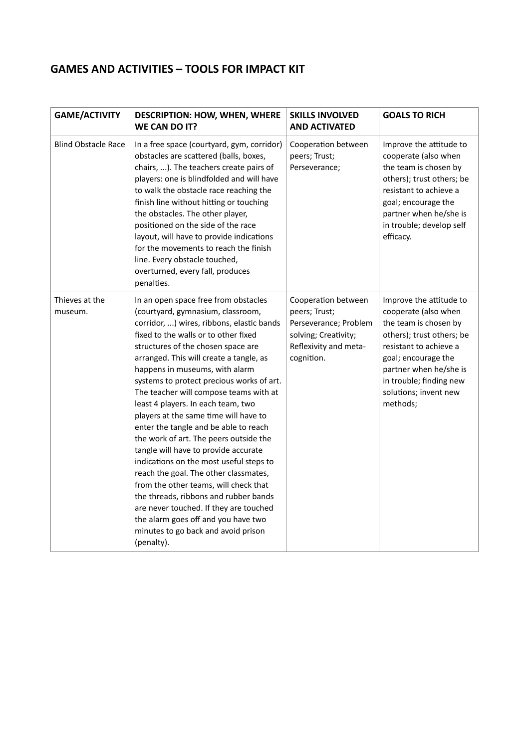## **GAMES AND ACTIVITIES – TOOLS FOR IMPACT KIT**

| <b>GAME/ACTIVITY</b>       | <b>DESCRIPTION: HOW, WHEN, WHERE</b><br><b>WE CAN DO IT?</b>                                                                                                                                                                                                                                                                                                                                                                                                                                                                                                                                                                                                                                                                                                                                                                                                                                   | <b>SKILLS INVOLVED</b><br><b>AND ACTIVATED</b>                                                                               | <b>GOALS TO RICH</b>                                                                                                                                                                                                                             |
|----------------------------|------------------------------------------------------------------------------------------------------------------------------------------------------------------------------------------------------------------------------------------------------------------------------------------------------------------------------------------------------------------------------------------------------------------------------------------------------------------------------------------------------------------------------------------------------------------------------------------------------------------------------------------------------------------------------------------------------------------------------------------------------------------------------------------------------------------------------------------------------------------------------------------------|------------------------------------------------------------------------------------------------------------------------------|--------------------------------------------------------------------------------------------------------------------------------------------------------------------------------------------------------------------------------------------------|
| <b>Blind Obstacle Race</b> | In a free space (courtyard, gym, corridor)<br>obstacles are scattered (balls, boxes,<br>chairs, ). The teachers create pairs of<br>players: one is blindfolded and will have<br>to walk the obstacle race reaching the<br>finish line without hitting or touching<br>the obstacles. The other player,<br>positioned on the side of the race<br>layout, will have to provide indications<br>for the movements to reach the finish<br>line. Every obstacle touched,<br>overturned, every fall, produces<br>penalties.                                                                                                                                                                                                                                                                                                                                                                            | Cooperation between<br>peers; Trust;<br>Perseverance;                                                                        | Improve the attitude to<br>cooperate (also when<br>the team is chosen by<br>others); trust others; be<br>resistant to achieve a<br>goal; encourage the<br>partner when he/she is<br>in trouble; develop self<br>efficacy.                        |
| Thieves at the<br>museum.  | In an open space free from obstacles<br>(courtyard, gymnasium, classroom,<br>corridor, ) wires, ribbons, elastic bands<br>fixed to the walls or to other fixed<br>structures of the chosen space are<br>arranged. This will create a tangle, as<br>happens in museums, with alarm<br>systems to protect precious works of art.<br>The teacher will compose teams with at<br>least 4 players. In each team, two<br>players at the same time will have to<br>enter the tangle and be able to reach<br>the work of art. The peers outside the<br>tangle will have to provide accurate<br>indications on the most useful steps to<br>reach the goal. The other classmates,<br>from the other teams, will check that<br>the threads, ribbons and rubber bands<br>are never touched. If they are touched<br>the alarm goes off and you have two<br>minutes to go back and avoid prison<br>(penalty). | Cooperation between<br>peers; Trust;<br>Perseverance; Problem<br>solving; Creativity;<br>Reflexivity and meta-<br>cognition. | Improve the attitude to<br>cooperate (also when<br>the team is chosen by<br>others); trust others; be<br>resistant to achieve a<br>goal; encourage the<br>partner when he/she is<br>in trouble; finding new<br>solutions; invent new<br>methods; |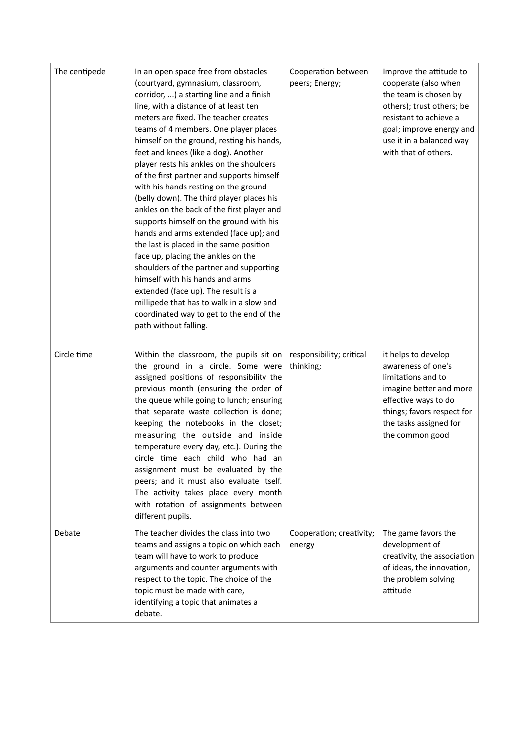| The centipede | In an open space free from obstacles<br>(courtyard, gymnasium, classroom,<br>corridor, ) a starting line and a finish<br>line, with a distance of at least ten<br>meters are fixed. The teacher creates<br>teams of 4 members. One player places<br>himself on the ground, resting his hands,<br>feet and knees (like a dog). Another<br>player rests his ankles on the shoulders<br>of the first partner and supports himself<br>with his hands resting on the ground<br>(belly down). The third player places his<br>ankles on the back of the first player and<br>supports himself on the ground with his<br>hands and arms extended (face up); and<br>the last is placed in the same position<br>face up, placing the ankles on the<br>shoulders of the partner and supporting<br>himself with his hands and arms<br>extended (face up). The result is a<br>millipede that has to walk in a slow and<br>coordinated way to get to the end of the<br>path without falling. | Cooperation between<br>peers; Energy; | Improve the attitude to<br>cooperate (also when<br>the team is chosen by<br>others); trust others; be<br>resistant to achieve a<br>goal; improve energy and<br>use it in a balanced way<br>with that of others. |
|---------------|-------------------------------------------------------------------------------------------------------------------------------------------------------------------------------------------------------------------------------------------------------------------------------------------------------------------------------------------------------------------------------------------------------------------------------------------------------------------------------------------------------------------------------------------------------------------------------------------------------------------------------------------------------------------------------------------------------------------------------------------------------------------------------------------------------------------------------------------------------------------------------------------------------------------------------------------------------------------------------|---------------------------------------|-----------------------------------------------------------------------------------------------------------------------------------------------------------------------------------------------------------------|
| Circle time   | Within the classroom, the pupils sit on<br>the ground in a circle. Some were<br>assigned positions of responsibility the<br>previous month (ensuring the order of<br>the queue while going to lunch; ensuring<br>that separate waste collection is done;<br>keeping the notebooks in the closet;<br>measuring the outside and inside<br>temperature every day, etc.). During the<br>circle time each child who had an<br>assignment must be evaluated by the<br>peers; and it must also evaluate itself.<br>The activity takes place every month<br>with rotation of assignments between<br>different pupils.                                                                                                                                                                                                                                                                                                                                                                 | responsibility; critical<br>thinking; | it helps to develop<br>awareness of one's<br>limitations and to<br>imagine better and more<br>effective ways to do<br>things; favors respect for<br>the tasks assigned for<br>the common good                   |
| Debate        | The teacher divides the class into two<br>teams and assigns a topic on which each<br>team will have to work to produce<br>arguments and counter arguments with<br>respect to the topic. The choice of the<br>topic must be made with care,<br>identifying a topic that animates a<br>debate.                                                                                                                                                                                                                                                                                                                                                                                                                                                                                                                                                                                                                                                                                  | Cooperation; creativity;<br>energy    | The game favors the<br>development of<br>creativity, the association<br>of ideas, the innovation,<br>the problem solving<br>attitude                                                                            |